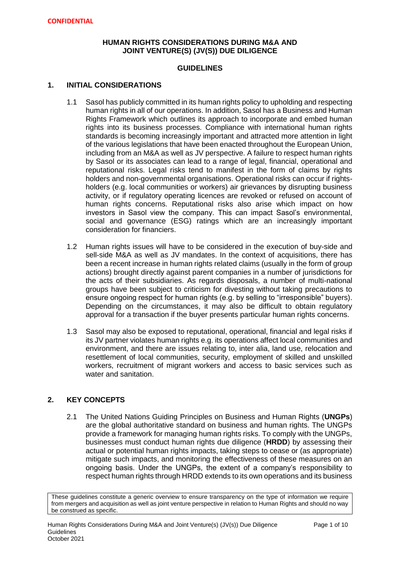### **HUMAN RIGHTS CONSIDERATIONS DURING M&A AND JOINT VENTURE(S) (JV(S)) DUE DILIGENCE**

### **GUIDELINES**

### **1. INITIAL CONSIDERATIONS**

- 1.1 Sasol has publicly committed in its human rights policy to upholding and respecting human rights in all of our operations. In addition, Sasol has a Business and Human Rights Framework which outlines its approach to incorporate and embed human rights into its business processes. Compliance with international human rights standards is becoming increasingly important and attracted more attention in light of the various legislations that have been enacted throughout the European Union, including from an M&A as well as JV perspective. A failure to respect human rights by Sasol or its associates can lead to a range of legal, financial, operational and reputational risks. Legal risks tend to manifest in the form of claims by rights holders and non-governmental organisations. Operational risks can occur if rightsholders (e.g. local communities or workers) air grievances by disrupting business activity, or if regulatory operating licences are revoked or refused on account of human rights concerns. Reputational risks also arise which impact on how investors in Sasol view the company. This can impact Sasol's environmental, social and governance (ESG) ratings which are an increasingly important consideration for financiers.
- 1.2 Human rights issues will have to be considered in the execution of buy-side and sell-side M&A as well as JV mandates. In the context of acquisitions, there has been a recent increase in human rights related claims (usually in the form of group actions) brought directly against parent companies in a number of jurisdictions for the acts of their subsidiaries. As regards disposals, a number of multi-national groups have been subject to criticism for divesting without taking precautions to ensure ongoing respect for human rights (e.g. by selling to "irresponsible" buyers). Depending on the circumstances, it may also be difficult to obtain regulatory approval for a transaction if the buyer presents particular human rights concerns.
- 1.3 Sasol may also be exposed to reputational, operational, financial and legal risks if its JV partner violates human rights e.g. its operations affect local communities and environment, and there are issues relating to, inter alia, land use, relocation and resettlement of local communities, security, employment of skilled and unskilled workers, recruitment of migrant workers and access to basic services such as water and sanitation.

# **2. KEY CONCEPTS**

2.1 The United Nations Guiding Principles on Business and Human Rights (**UNGPs**) are the global authoritative standard on business and human rights. The UNGPs provide a framework for managing human rights risks. To comply with the UNGPs, businesses must conduct human rights due diligence (**HRDD**) by assessing their actual or potential human rights impacts, taking steps to cease or (as appropriate) mitigate such impacts, and monitoring the effectiveness of these measures on an ongoing basis. Under the UNGPs, the extent of a company's responsibility to respect human rights through HRDD extends to its own operations and its business

These guidelines constitute a generic overview to ensure transparency on the type of information we require from mergers and acquisition as well as joint venture perspective in relation to Human Rights and should no way be construed as specific.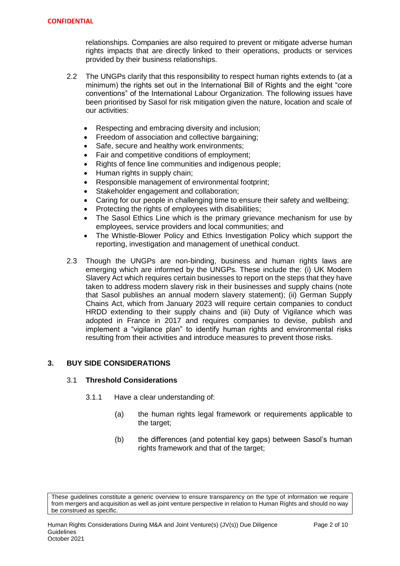relationships. Companies are also required to prevent or mitigate adverse human rights impacts that are directly linked to their operations, products or services provided by their business relationships.

- 2.2 The UNGPs clarify that this responsibility to respect human rights extends to (at a minimum) the rights set out in the International Bill of Rights and the eight "core conventions" of the International Labour Organization. The following issues have been prioritised by Sasol for risk mitigation given the nature, location and scale of our activities:
	- Respecting and embracing diversity and inclusion;
	- Freedom of association and collective bargaining;
	- Safe, secure and healthy work environments;
	- Fair and competitive conditions of employment;
	- Rights of fence line communities and indigenous people;
	- Human rights in supply chain;
	- Responsible management of environmental footprint;
	- Stakeholder engagement and collaboration;
	- Caring for our people in challenging time to ensure their safety and wellbeing;
	- Protecting the rights of employees with disabilities;
	- The Sasol Ethics Line which is the primary grievance mechanism for use by employees, service providers and local communities; and
	- The Whistle-Blower Policy and Ethics Investigation Policy which support the reporting, investigation and management of unethical conduct.
- 2.3 Though the UNGPs are non-binding, business and human rights laws are emerging which are informed by the UNGPs. These include the: (i) UK Modern Slavery Act which requires certain businesses to report on the steps that they have taken to address modern slavery risk in their businesses and supply chains (note that Sasol publishes an annual modern slavery statement); (ii) German Supply Chains Act, which from January 2023 will require certain companies to conduct HRDD extending to their supply chains and (iii) Duty of Vigilance which was adopted in France in 2017 and requires companies to devise, publish and implement a "vigilance plan" to identify human rights and environmental risks resulting from their activities and introduce measures to prevent those risks.

# **3. BUY SIDE CONSIDERATIONS**

#### 3.1 **Threshold Considerations**

- 3.1.1 Have a clear understanding of:
	- (a) the human rights legal framework or requirements applicable to the target;
	- (b) the differences (and potential key gaps) between Sasol's human rights framework and that of the target;

These guidelines constitute a generic overview to ensure transparency on the type of information we require from mergers and acquisition as well as joint venture perspective in relation to Human Rights and should no way be construed as specific.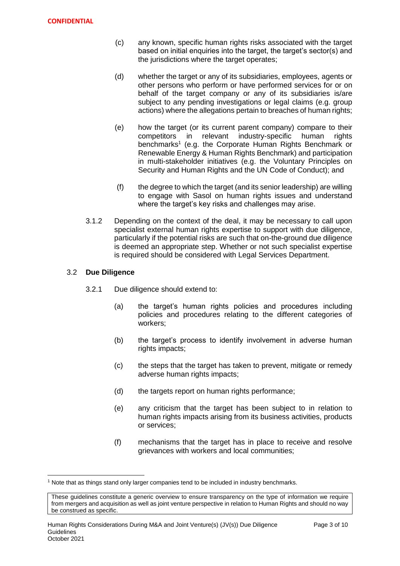- (c) any known, specific human rights risks associated with the target based on initial enquiries into the target, the target's sector(s) and the jurisdictions where the target operates;
- (d) whether the target or any of its subsidiaries, employees, agents or other persons who perform or have performed services for or on behalf of the target company or any of its subsidiaries is/are subject to any pending investigations or legal claims (e.g. group actions) where the allegations pertain to breaches of human rights;
- (e) how the target (or its current parent company) compare to their competitors in relevant industry-specific human rights benchmarks<sup>1</sup> (e.g. the Corporate Human Rights Benchmark or Renewable Energy & Human Rights Benchmark) and participation in multi-stakeholder initiatives (e.g. the Voluntary Principles on Security and Human Rights and the UN Code of Conduct); and
- (f) the degree to which the target (and its senior leadership) are willing to engage with Sasol on human rights issues and understand where the target's key risks and challenges may arise.
- 3.1.2 Depending on the context of the deal, it may be necessary to call upon specialist external human rights expertise to support with due diligence, particularly if the potential risks are such that on-the-ground due diligence is deemed an appropriate step. Whether or not such specialist expertise is required should be considered with Legal Services Department.

### 3.2 **Due Diligence**

- 3.2.1 Due diligence should extend to:
	- (a) the target's human rights policies and procedures including policies and procedures relating to the different categories of workers;
	- (b) the target's process to identify involvement in adverse human rights impacts;
	- (c) the steps that the target has taken to prevent, mitigate or remedy adverse human rights impacts;
	- (d) the targets report on human rights performance;
	- (e) any criticism that the target has been subject to in relation to human rights impacts arising from its business activities, products or services;
	- (f) mechanisms that the target has in place to receive and resolve grievances with workers and local communities;

 $\overline{\phantom{a}}$  $<sup>1</sup>$  Note that as things stand only larger companies tend to be included in industry benchmarks.</sup>

These guidelines constitute a generic overview to ensure transparency on the type of information we require from mergers and acquisition as well as joint venture perspective in relation to Human Rights and should no way be construed as specific.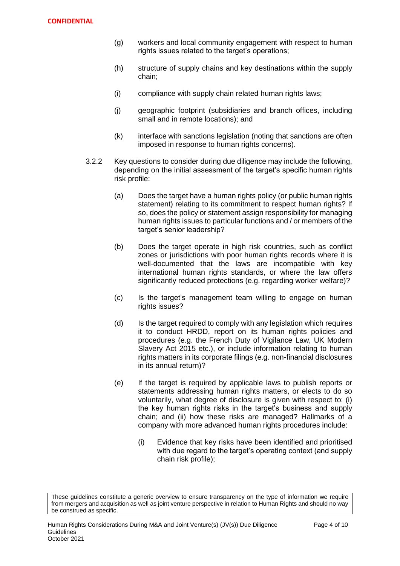- (g) workers and local community engagement with respect to human rights issues related to the target's operations;
- (h) structure of supply chains and key destinations within the supply chain;
- (i) compliance with supply chain related human rights laws;
- (j) geographic footprint (subsidiaries and branch offices, including small and in remote locations); and
- (k) interface with sanctions legislation (noting that sanctions are often imposed in response to human rights concerns).
- 3.2.2 Key questions to consider during due diligence may include the following, depending on the initial assessment of the target's specific human rights risk profile:
	- (a) Does the target have a human rights policy (or public human rights statement) relating to its commitment to respect human rights? If so, does the policy or statement assign responsibility for managing human rights issues to particular functions and / or members of the target's senior leadership?
	- (b) Does the target operate in high risk countries, such as conflict zones or jurisdictions with poor human rights records where it is well-documented that the laws are incompatible with key international human rights standards, or where the law offers significantly reduced protections (e.g. regarding worker welfare)?
	- (c) Is the target's management team willing to engage on human rights issues?
	- (d) Is the target required to comply with any legislation which requires it to conduct HRDD, report on its human rights policies and procedures (e.g. the French Duty of Vigilance Law, UK Modern Slavery Act 2015 etc.), or include information relating to human rights matters in its corporate filings (e.g. non-financial disclosures in its annual return)?
	- (e) If the target is required by applicable laws to publish reports or statements addressing human rights matters, or elects to do so voluntarily, what degree of disclosure is given with respect to: (i) the key human rights risks in the target's business and supply chain; and (ii) how these risks are managed? Hallmarks of a company with more advanced human rights procedures include:
		- (i) Evidence that key risks have been identified and prioritised with due regard to the target's operating context (and supply chain risk profile);

These guidelines constitute a generic overview to ensure transparency on the type of information we require from mergers and acquisition as well as joint venture perspective in relation to Human Rights and should no way be construed as specific.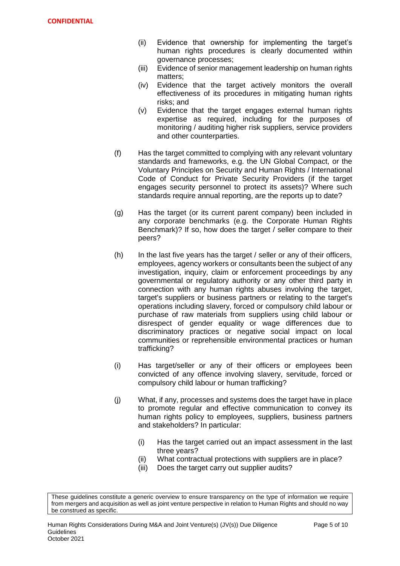- (ii) Evidence that ownership for implementing the target's human rights procedures is clearly documented within governance processes;
- (iii) Evidence of senior management leadership on human rights matters;
- (iv) Evidence that the target actively monitors the overall effectiveness of its procedures in mitigating human rights risks; and
- (v) Evidence that the target engages external human rights expertise as required, including for the purposes of monitoring / auditing higher risk suppliers, service providers and other counterparties.
- (f) Has the target committed to complying with any relevant voluntary standards and frameworks, e.g. the UN Global Compact, or the Voluntary Principles on Security and Human Rights / International Code of Conduct for Private Security Providers (if the target engages security personnel to protect its assets)? Where such standards require annual reporting, are the reports up to date?
- (g) Has the target (or its current parent company) been included in any corporate benchmarks (e.g. the Corporate Human Rights Benchmark)? If so, how does the target / seller compare to their peers?
- $(h)$  In the last five years has the target / seller or any of their officers, employees, agency workers or consultants been the subject of any investigation, inquiry, claim or enforcement proceedings by any governmental or regulatory authority or any other third party in connection with any human rights abuses involving the target, target's suppliers or business partners or relating to the target's operations including slavery, forced or compulsory child labour or purchase of raw materials from suppliers using child labour or disrespect of gender equality or wage differences due to discriminatory practices or negative social impact on local communities or reprehensible environmental practices or human trafficking?
- (i) Has target/seller or any of their officers or employees been convicted of any offence involving slavery, servitude, forced or compulsory child labour or human trafficking?
- (j) What, if any, processes and systems does the target have in place to promote regular and effective communication to convey its human rights policy to employees, suppliers, business partners and stakeholders? In particular:
	- (i) Has the target carried out an impact assessment in the last three years?
	- (ii) What contractual protections with suppliers are in place?
	- (iii) Does the target carry out supplier audits?

These guidelines constitute a generic overview to ensure transparency on the type of information we require from mergers and acquisition as well as joint venture perspective in relation to Human Rights and should no way be construed as specific.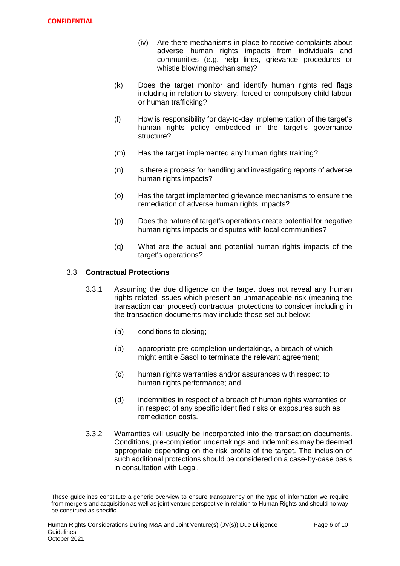- (iv) Are there mechanisms in place to receive complaints about adverse human rights impacts from individuals and communities (e.g. help lines, grievance procedures or whistle blowing mechanisms)?
- (k) Does the target monitor and identify human rights red flags including in relation to slavery, forced or compulsory child labour or human trafficking?
- (l) How is responsibility for day-to-day implementation of the target's human rights policy embedded in the target's governance structure?
- (m) Has the target implemented any human rights training?
- (n) Is there a process for handling and investigating reports of adverse human rights impacts?
- (o) Has the target implemented grievance mechanisms to ensure the remediation of adverse human rights impacts?
- (p) Does the nature of target's operations create potential for negative human rights impacts or disputes with local communities?
- (q) What are the actual and potential human rights impacts of the target's operations?

### 3.3 **Contractual Protections**

- 3.3.1 Assuming the due diligence on the target does not reveal any human rights related issues which present an unmanageable risk (meaning the transaction can proceed) contractual protections to consider including in the transaction documents may include those set out below:
	- (a) conditions to closing;
	- (b) appropriate pre-completion undertakings, a breach of which might entitle Sasol to terminate the relevant agreement;
	- (c) human rights warranties and/or assurances with respect to human rights performance; and
	- (d) indemnities in respect of a breach of human rights warranties or in respect of any specific identified risks or exposures such as remediation costs.
- 3.3.2 Warranties will usually be incorporated into the transaction documents. Conditions, pre-completion undertakings and indemnities may be deemed appropriate depending on the risk profile of the target. The inclusion of such additional protections should be considered on a case-by-case basis in consultation with Legal.

These guidelines constitute a generic overview to ensure transparency on the type of information we require from mergers and acquisition as well as joint venture perspective in relation to Human Rights and should no way be construed as specific.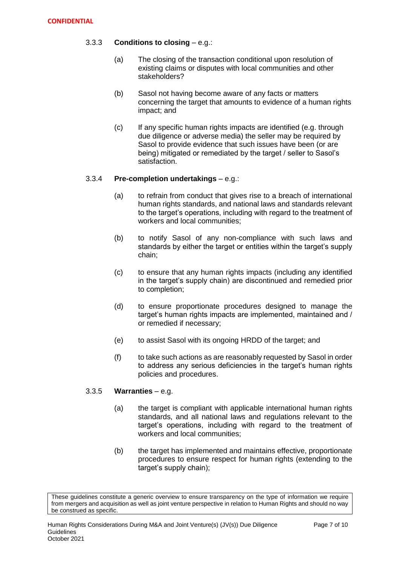# 3.3.3 **Conditions to closing** – e.g.:

- (a) The closing of the transaction conditional upon resolution of existing claims or disputes with local communities and other stakeholders?
- (b) Sasol not having become aware of any facts or matters concerning the target that amounts to evidence of a human rights impact; and
- (c) If any specific human rights impacts are identified (e.g. through due diligence or adverse media) the seller may be required by Sasol to provide evidence that such issues have been (or are being) mitigated or remediated by the target / seller to Sasol's satisfaction.

# 3.3.4 **Pre-completion undertakings** – e.g.:

- (a) to refrain from conduct that gives rise to a breach of international human rights standards, and national laws and standards relevant to the target's operations, including with regard to the treatment of workers and local communities;
- (b) to notify Sasol of any non-compliance with such laws and standards by either the target or entities within the target's supply chain;
- (c) to ensure that any human rights impacts (including any identified in the target's supply chain) are discontinued and remedied prior to completion;
- (d) to ensure proportionate procedures designed to manage the target's human rights impacts are implemented, maintained and / or remedied if necessary;
- (e) to assist Sasol with its ongoing HRDD of the target; and
- (f) to take such actions as are reasonably requested by Sasol in order to address any serious deficiencies in the target's human rights policies and procedures.

# 3.3.5 **Warranties** – e.g.

- (a) the target is compliant with applicable international human rights standards, and all national laws and regulations relevant to the target's operations, including with regard to the treatment of workers and local communities;
- (b) the target has implemented and maintains effective, proportionate procedures to ensure respect for human rights (extending to the target's supply chain);

These guidelines constitute a generic overview to ensure transparency on the type of information we require from mergers and acquisition as well as joint venture perspective in relation to Human Rights and should no way be construed as specific.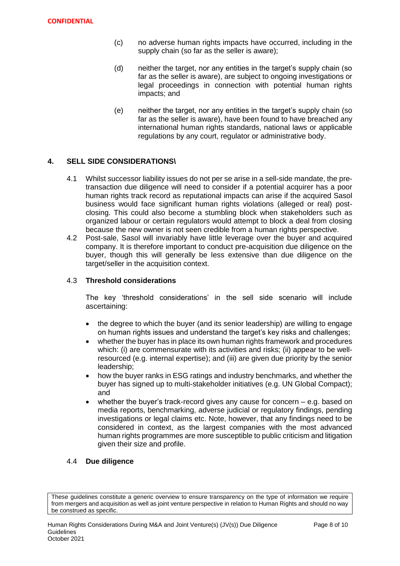- (c) no adverse human rights impacts have occurred, including in the supply chain (so far as the seller is aware);
- (d) neither the target, nor any entities in the target's supply chain (so far as the seller is aware), are subject to ongoing investigations or legal proceedings in connection with potential human rights impacts; and
- (e) neither the target, nor any entities in the target's supply chain (so far as the seller is aware), have been found to have breached any international human rights standards, national laws or applicable regulations by any court, regulator or administrative body.

# **4. SELL SIDE CONSIDERATIONS\**

- 4.1 Whilst successor liability issues do not per se arise in a sell-side mandate, the pretransaction due diligence will need to consider if a potential acquirer has a poor human rights track record as reputational impacts can arise if the acquired Sasol business would face significant human rights violations (alleged or real) postclosing. This could also become a stumbling block when stakeholders such as organized labour or certain regulators would attempt to block a deal from closing because the new owner is not seen credible from a human rights perspective.
- 4.2 Post-sale, Sasol will invariably have little leverage over the buyer and acquired company. It is therefore important to conduct pre-acquisition due diligence on the buyer, though this will generally be less extensive than due diligence on the target/seller in the acquisition context.

### 4.3 **Threshold considerations**

The key 'threshold considerations' in the sell side scenario will include ascertaining:

- the degree to which the buyer (and its senior leadership) are willing to engage on human rights issues and understand the target's key risks and challenges;
- whether the buyer has in place its own human rights framework and procedures which: (i) are commensurate with its activities and risks; (ii) appear to be wellresourced (e.g. internal expertise); and (iii) are given due priority by the senior leadership;
- how the buyer ranks in ESG ratings and industry benchmarks, and whether the buyer has signed up to multi-stakeholder initiatives (e.g. UN Global Compact); and
- whether the buyer's track-record gives any cause for concern  $-$  e.g. based on media reports, benchmarking, adverse judicial or regulatory findings, pending investigations or legal claims etc. Note, however, that any findings need to be considered in context, as the largest companies with the most advanced human rights programmes are more susceptible to public criticism and litigation given their size and profile.

#### 4.4 **Due diligence**

These guidelines constitute a generic overview to ensure transparency on the type of information we require from mergers and acquisition as well as joint venture perspective in relation to Human Rights and should no way be construed as specific.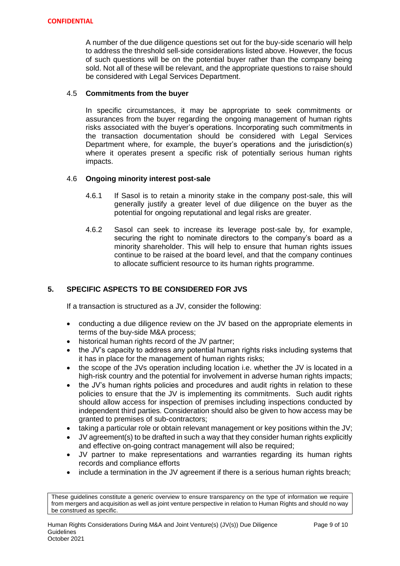A number of the due diligence questions set out for the buy-side scenario will help to address the threshold sell-side considerations listed above. However, the focus of such questions will be on the potential buyer rather than the company being sold. Not all of these will be relevant, and the appropriate questions to raise should be considered with Legal Services Department.

### 4.5 **Commitments from the buyer**

In specific circumstances, it may be appropriate to seek commitments or assurances from the buyer regarding the ongoing management of human rights risks associated with the buyer's operations. Incorporating such commitments in the transaction documentation should be considered with Legal Services Department where, for example, the buyer's operations and the jurisdiction(s) where it operates present a specific risk of potentially serious human rights impacts.

### 4.6 **Ongoing minority interest post-sale**

- 4.6.1 If Sasol is to retain a minority stake in the company post-sale, this will generally justify a greater level of due diligence on the buyer as the potential for ongoing reputational and legal risks are greater.
- 4.6.2 Sasol can seek to increase its leverage post-sale by, for example, securing the right to nominate directors to the company's board as a minority shareholder. This will help to ensure that human rights issues continue to be raised at the board level, and that the company continues to allocate sufficient resource to its human rights programme.

# **5. SPECIFIC ASPECTS TO BE CONSIDERED FOR JVS**

If a transaction is structured as a JV, consider the following:

- conducting a due diligence review on the JV based on the appropriate elements in terms of the buy-side M&A process;
- historical human rights record of the JV partner;
- the JV's capacity to address any potential human rights risks including systems that it has in place for the management of human rights risks;
- the scope of the JVs operation including location i.e. whether the JV is located in a high-risk country and the potential for involvement in adverse human rights impacts;
- the JV's human rights policies and procedures and audit rights in relation to these policies to ensure that the JV is implementing its commitments. Such audit rights should allow access for inspection of premises including inspections conducted by independent third parties. Consideration should also be given to how access may be granted to premises of sub-contractors;
- taking a particular role or obtain relevant management or key positions within the JV;
- JV agreement(s) to be drafted in such a way that they consider human rights explicitly and effective on-going contract management will also be required;
- JV partner to make representations and warranties regarding its human rights records and compliance efforts
- include a termination in the JV agreement if there is a serious human rights breach;

These guidelines constitute a generic overview to ensure transparency on the type of information we require from mergers and acquisition as well as joint venture perspective in relation to Human Rights and should no way be construed as specific.